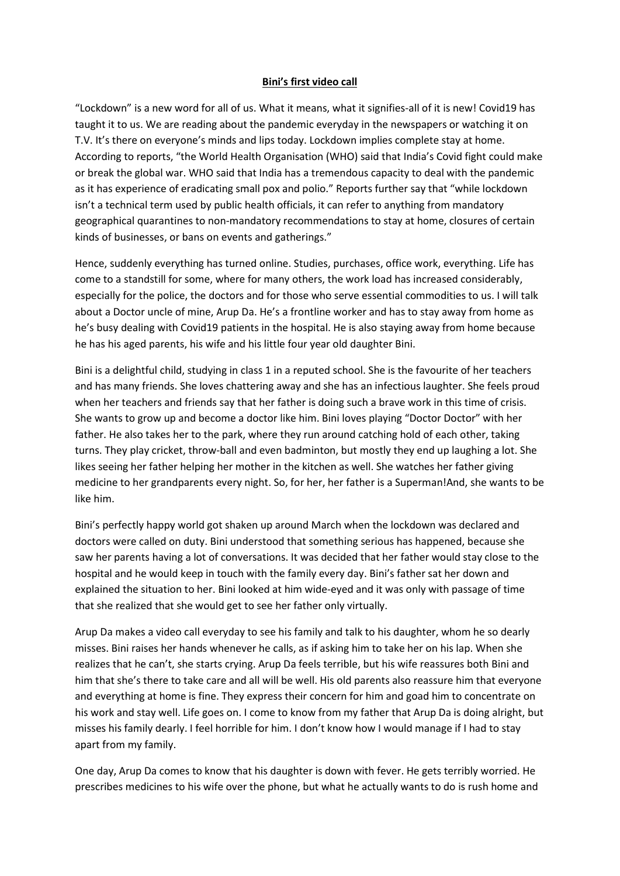## Bini's first video call

"Lockdown" is a new word for all of us. What it means, what it signifies-all of it is new! Covid19 has taught it to us. We are reading about the pandemic everyday in the newspapers or watching it on T.V. It's there on everyone's minds and lips today. Lockdown implies complete stay at home. According to reports, "the World Health Organisation (WHO) said that India's Covid fight could make or break the global war. WHO said that India has a tremendous capacity to deal with the pandemic as it has experience of eradicating small pox and polio." Reports further say that "while lockdown isn't a technical term used by public health officials, it can refer to anything from mandatory geographical quarantines to non-mandatory recommendations to stay at home, closures of certain kinds of businesses, or bans on events and gatherings."

Hence, suddenly everything has turned online. Studies, purchases, office work, everything. Life has come to a standstill for some, where for many others, the work load has increased considerably, especially for the police, the doctors and for those who serve essential commodities to us. I will talk about a Doctor uncle of mine, Arup Da. He's a frontline worker and has to stay away from home as he's busy dealing with Covid19 patients in the hospital. He is also staying away from home because he has his aged parents, his wife and his little four year old daughter Bini.

Bini is a delightful child, studying in class 1 in a reputed school. She is the favourite of her teachers and has many friends. She loves chattering away and she has an infectious laughter. She feels proud when her teachers and friends say that her father is doing such a brave work in this time of crisis. She wants to grow up and become a doctor like him. Bini loves playing "Doctor Doctor" with her father. He also takes her to the park, where they run around catching hold of each other, taking turns. They play cricket, throw-ball and even badminton, but mostly they end up laughing a lot. She likes seeing her father helping her mother in the kitchen as well. She watches her father giving medicine to her grandparents every night. So, for her, her father is a Superman!And, she wants to be like him.

Bini's perfectly happy world got shaken up around March when the lockdown was declared and doctors were called on duty. Bini understood that something serious has happened, because she saw her parents having a lot of conversations. It was decided that her father would stay close to the hospital and he would keep in touch with the family every day. Bini's father sat her down and explained the situation to her. Bini looked at him wide-eyed and it was only with passage of time that she realized that she would get to see her father only virtually.

Arup Da makes a video call everyday to see his family and talk to his daughter, whom he so dearly misses. Bini raises her hands whenever he calls, as if asking him to take her on his lap. When she realizes that he can't, she starts crying. Arup Da feels terrible, but his wife reassures both Bini and him that she's there to take care and all will be well. His old parents also reassure him that everyone and everything at home is fine. They express their concern for him and goad him to concentrate on his work and stay well. Life goes on. I come to know from my father that Arup Da is doing alright, but misses his family dearly. I feel horrible for him. I don't know how I would manage if I had to stay apart from my family.

One day, Arup Da comes to know that his daughter is down with fever. He gets terribly worried. He prescribes medicines to his wife over the phone, but what he actually wants to do is rush home and